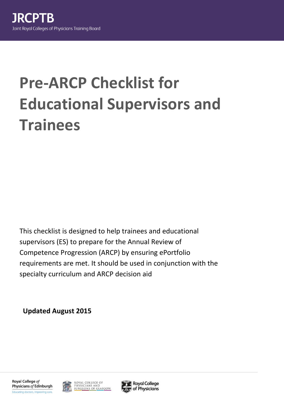# **Pre-ARCP Checklist for Educational Supervisors and Trainees**

This checklist is designed to help trainees and educational supervisors (ES) to prepare for the Annual Review of Competence Progression (ARCP) by ensuring ePortfolio requirements are met. It should be used in conjunction with the specialty curriculum and ARCP decision aid

**Updated August 2015**





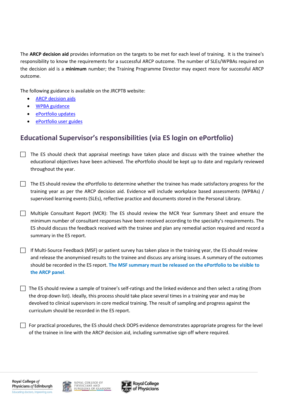The **ARCP decision aid** provides information on the targets to be met for each level of training. It is the trainee's responsibility to know the requirements for a successful ARCP outcome. The number of SLEs/WPBAs required on the decision aid is a **minimum** number; the Training Programme Director may expect more for successful ARCP outcome.

The following guidance is available on the JRCPTB website:

- [ARCP decision aids](http://www.jrcptb.org.uk/training-certification/arcp-decision-aids)
- [WPBA guidance](http://www.jrcptb.org.uk/assessment/workplace-based-assessment)
- [ePortfolio updates](http://www.jrcptb.org.uk/eportfolio-information/updates-and-performance)
- [ePortfolio user guides](http://www.jrcptb.org.uk/eportfolio-information/user-guides)

## **Educational Supervisor's responsibilities (via ES login on ePortfolio)**

- $\Box$  The ES should check that appraisal meetings have taken place and discuss with the trainee whether the educational objectives have been achieved. The ePortfolio should be kept up to date and regularly reviewed throughout the year.
- $\Box$  The ES should review the ePortfolio to determine whether the trainee has made satisfactory progress for the training year as per the ARCP decision aid. Evidence will include workplace based assessments (WPBAs) / supervised learning events (SLEs), reflective practice and documents stored in the Personal Library.
- Multiple Consultant Report (MCR): The ES should review the MCR Year Summary Sheet and ensure the minimum number of consultant responses have been received according to the specialty's requirements. The ES should discuss the feedback received with the trainee and plan any remedial action required and record a summary in the ES report.
- If Multi-Source Feedback (MSF) or patient survey has taken place in the training year, the ES should review and release the anonymised results to the trainee and discuss any arising issues. A summary of the outcomes should be recorded in the ES report. **The MSF summary must be released on the ePortfolio to be visible to the ARCP panel**.
- $\Box$  The ES should review a sample of trainee's self-ratings and the linked evidence and then select a rating (from the drop down list). Ideally, this process should take place several times in a training year and may be devolved to clinical supervisors in core medical training. The result of sampling and progress against the curriculum should be recorded in the ES report.

 $\Box$  For practical procedures, the ES should check DOPS evidence demonstrates appropriate progress for the level of the trainee in line with the ARCP decision aid, including summative sign off where required.



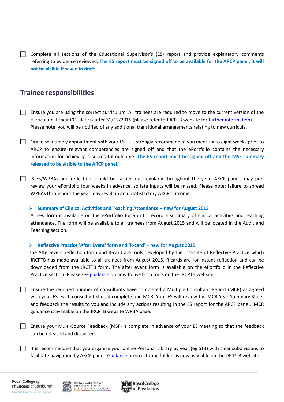$\Box$  Complete all sections of the Educational Supervisor's (ES) report and provide explanatory comments referring to evidence reviewed. **The ES report must be signed off to be available for the ARCP panel; it will not be visible if saved in draft**.

## **Trainee responsibilities**

- $\Box$  Ensure you are using the correct curriculum. All trainees are required to move to the current version of the curriculum if their CCT date is after 31/12/2015 (please refer to JRCPTB website for [further information\)](http://www.jrcptb.org.uk/training-certification/curriculum-updates-and-changes)*.* Please note, you will be notified of any additional transitional arrangements relating to new curricula.
- $\Box$  Organise a timely appointment with your ES. It is strongly recommended you meet six to eight weeks prior to ARCP to ensure relevant competencies are signed off and that the ePortfolio contains the necessary information for achieving a successful outcome. **The ES report must be signed off and the MSF summary released to be visible to the ARCP panel.**
- $\Box$  SLEs/WPBAs and reflection should be carried out regularly throughout the year. ARCP panels may prereview your ePortfolio four weeks in advance, so late inputs will be missed. Please note; failure to spread WPBAs throughout the year may result in an unsatisfactory ARCP outcome.

### **Summary of Clinical Activities and Teaching Attendance – new for August 2015**

A new form is available on the ePortfolio for you to record a summary of clinical activities and teaching attendance. The form will be available to all trainees from August 2015 and will be located in the Audit and Teaching section.

#### **Reflective Practice 'After Event' form and 'R-card' – new for August 2015**

The After-event reflection form and R-card are tools developed by the Institute of Reflective Practice which JRCPTB has made available to all trainees from August 2015. R-cards are for instant reflection and can be downloaded from the JRCTTB form. The after event form is available on the ePortfolio in the Reflective Practice section. Please se[e guidance](http://www.jrcptb.org.uk/sites/default/files/Reflective%20Practice%20R%20Card%20instructions%20and%20guidance.pdf) on how to use both tools on the JRCPTB website.

- **Ensure the required number of consultants have completed a Multiple Consultant Report (MCR) as agreed** with your ES. Each consultant should complete one MCR. Your ES will review the MCR Year Summary Sheet and feedback the results to you and include any actions resulting in the ES report for the ARCP panel. MCR guidance is available on the JRCPTB website WPBA page.
- **Ensure your Multi-Source Feedback (MSF) is complete in advance of your ES meeting so that the feedback** can be released and discussed.
- It is recommended that you organise your online Personal Library by year (eg ST3) with clear subdivisions to facilitate navigation by ARCP panel. [Guidance](http://www.jrcptb.org.uk/sites/default/files/Guidance%20on%20structuring%20folders%20in%20the%20Personal%20Library.pdf) on structuring folders is now available on the JRCPTB website.